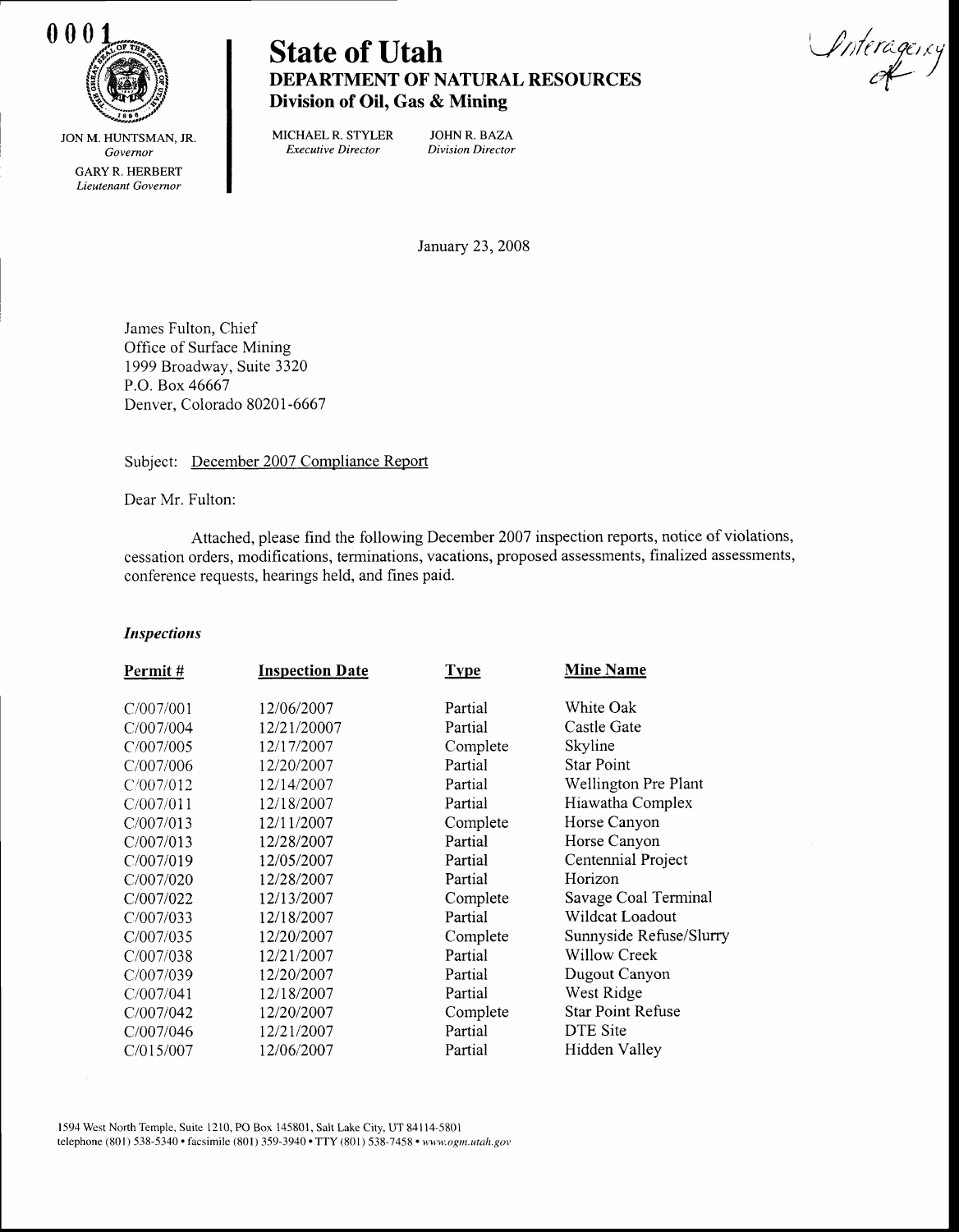

0001<br>
State of Utah Vietnament Character Vietnage, cy DEPARTMENT OF NATURAL RESOURCES Division of Oil, Gas & Mining

JON M. HUNTSMAN. JR. Governor GARY R. HERBERT Lieutenant Governor

MICHAEL R. STYLER JOHN R. BAZA<br>Executive Director Division Director Executive Director

January 23,2008

James Fulton, Chief Office of Surface Mining 1999 Broadway, Suite 3320 P.O. Box 46667 Denver, Colorado 80201-6667

Subject: December 2007 Compliance Report

Dear Mr. Fulton:

Attached, please find the following December 2007 inspection reports, notice of violations, cessation orders, modifications, terminations, vacations, proposed assessments, finalized assessments, conference requests, hearings held, and fines paid.

## **Inspections**

| Permit#   | <b>Inspection Date</b> | <b>Type</b> | <b>Mine Name</b>         |
|-----------|------------------------|-------------|--------------------------|
| C/007/001 | 12/06/2007             | Partial     | White Oak                |
| C/007/004 | 12/21/20007            | Partial     | Castle Gate              |
| C/007/005 | 12/17/2007             | Complete    | Skyline                  |
| C/007/006 | 12/20/2007             | Partial     | Star Point               |
| C/007/012 | 12/14/2007             | Partial     | Wellington Pre Plant     |
| C/007/011 | 12/18/2007             | Partial     | Hiawatha Complex         |
| C/007/013 | 12/11/2007             | Complete    | Horse Canyon             |
| C/007/013 | 12/28/2007             | Partial     | Horse Canyon             |
| C/007/019 | 12/05/2007             | Partial     | Centennial Project       |
| C/007/020 | 12/28/2007             | Partial     | Horizon                  |
| C/007/022 | 12/13/2007             | Complete    | Savage Coal Terminal     |
| C/007/033 | 12/18/2007             | Partial     | Wildcat Loadout          |
| C/007/035 | 12/20/2007             | Complete    | Sunnyside Refuse/Slurry  |
| C/007/038 | 12/21/2007             | Partial     | <b>Willow Creek</b>      |
| C/007/039 | 12/20/2007             | Partial     | Dugout Canyon            |
| C/007/041 | 12/18/2007             | Partial     | West Ridge               |
| C/007/042 | 12/20/2007             | Complete    | <b>Star Point Refuse</b> |
| C/007/046 | 12/21/2007             | Partial     | DTE Site                 |
| C/015/007 | 12/06/2007             | Partial     | Hidden Valley            |